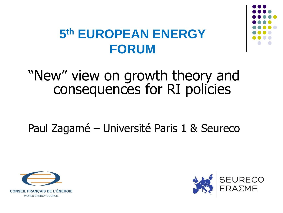

## **5 th EUROPEAN ENERGY FORUM**

## "New" view on growth theory and consequences for RI policies

Paul Zagamé – Université Paris 1 & Seureco



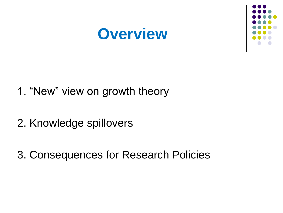# **Overview**



- 1. "New" view on growth theory
- 2. Knowledge spillovers
- 3. Consequences for Research Policies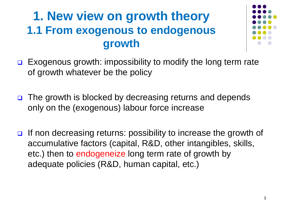### **1. New view on growth theory 1.1 From exogenous to endogenous growth**



- $\Box$  Exogenous growth: impossibility to modify the long term rate of growth whatever be the policy
- □ The growth is blocked by decreasing returns and depends only on the (exogenous) labour force increase
- If non decreasing returns: possibility to increase the growth of accumulative factors (capital, R&D, other intangibles, skills, etc.) then to endogeneize long term rate of growth by adequate policies (R&D, human capital, etc.)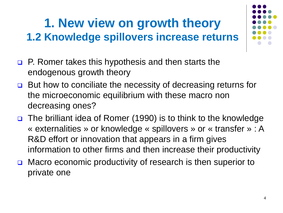## **1. New view on growth theory 1.2 Knowledge spillovers increase returns**



- **P.** Romer takes this hypothesis and then starts the endogenous growth theory
- **□** But how to conciliate the necessity of decreasing returns for the microeconomic equilibrium with these macro non decreasing ones?
- $\Box$  The brilliant idea of Romer (1990) is to think to the knowledge « externalities » or knowledge « spillovers » or « transfer » : A R&D effort or innovation that appears in a firm gives information to other firms and then increase their productivity
- Macro economic productivity of research is then superior to private one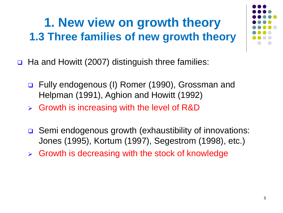## **1. New view on growth theory 1.3 Three families of new growth theory**

- □ Ha and Howitt (2007) distinguish three families:
	- Fully endogenous (I) Romer (1990), Grossman and Helpman (1991), Aghion and Howitt (1992)
	- $\triangleright$  Growth is increasing with the level of R&D
	- **□** Semi endogenous growth (exhaustibility of innovations: Jones (1995), Kortum (1997), Segestrom (1998), etc.)
	- $\triangleright$  Growth is decreasing with the stock of knowledge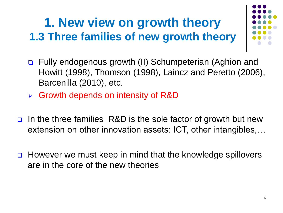## **1. New view on growth theory 1.3 Three families of new growth theory**



- Fully endogenous growth (II) Schumpeterian (Aghion and Howitt (1998), Thomson (1998), Laincz and Peretto (2006), Barcenilla (2010), etc.
- Growth depends on intensity of R&D
- In the three families R&D is the sole factor of growth but new extension on other innovation assets: ICT, other intangibles,…
- **□** However we must keep in mind that the knowledge spillovers are in the core of the new theories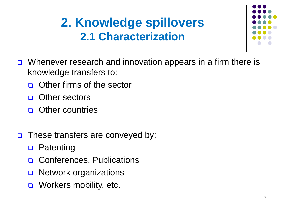## **2. Knowledge spillovers 2.1 Characterization**



- Whenever research and innovation appears in a firm there is knowledge transfers to:
	- □ Other firms of the sector
	- **D** Other sectors
	- **D** Other countries
- These transfers are conveyed by:
	- **D** Patenting
	- **Q** Conferences, Publications
	- **D** Network organizations
	- Workers mobility, etc.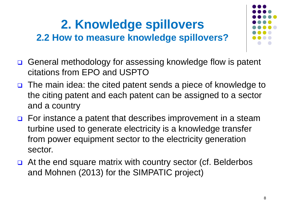### **2. Knowledge spillovers 2.2 How to measure knowledge spillovers?**



- □ General methodology for assessing knowledge flow is patent citations from EPO and USPTO
- The main idea: the cited patent sends a piece of knowledge to the citing patent and each patent can be assigned to a sector and a country
- $\Box$  For instance a patent that describes improvement in a steam turbine used to generate electricity is a knowledge transfer from power equipment sector to the electricity generation sector.
- $\Box$  At the end square matrix with country sector (cf. Belderbos and Mohnen (2013) for the SIMPATIC project)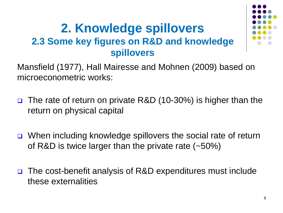#### **2. Knowledge spillovers 2.3 Some key figures on R&D and knowledge spillovers**



Mansfield (1977), Hall Mairesse and Mohnen (2009) based on microeconometric works:

- □ The rate of return on private R&D (10-30%) is higher than the return on physical capital
- When including knowledge spillovers the social rate of return of R&D is twice larger than the private rate (~50%)
- The cost-benefit analysis of R&D expenditures must include these externalities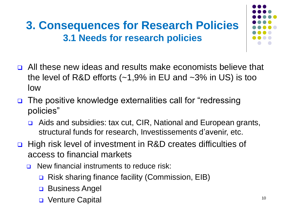### **3. Consequences for Research Policies 3.1 Needs for research policies**

- All these new ideas and results make economists believe that the level of R&D efforts (~1,9% in EU and ~3% in US) is too low
- The positive knowledge externalities call for "redressing policies"
	- Aids and subsidies: tax cut, CIR, National and European grants, structural funds for research, Investissements d'avenir, etc.
- □ High risk level of investment in R&D creates difficulties of access to financial markets
	- **□** New financial instruments to reduce risk:
		- **□** Risk sharing finance facility (Commission, EIB)
		- **Business Angel**
		- Venture Capital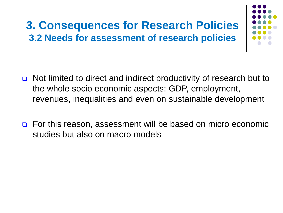### **3. Consequences for Research Policies 3.2 Needs for assessment of research policies**



- Not limited to direct and indirect productivity of research but to the whole socio economic aspects: GDP, employment, revenues, inequalities and even on sustainable development
- □ For this reason, assessment will be based on micro economic studies but also on macro models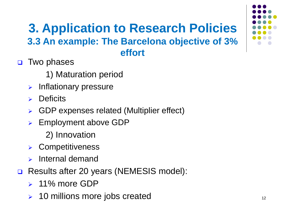#### **3. Application to Research Policies 3.3 An example: The Barcelona objective of 3% effort**

- **D** Two phases
	- 1) Maturation period
	- $\triangleright$  Inflationary pressure
	- $\triangleright$  Deficits
	- GDP expenses related (Multiplier effect)
	- Employment above GDP
		- 2) Innovation
	- Competitiveness
	- $\triangleright$  Internal demand
- Results after 20 years (NEMESIS model):
	- $\geq 11\%$  more GDP
	- **▶ 10 millions more jobs created**

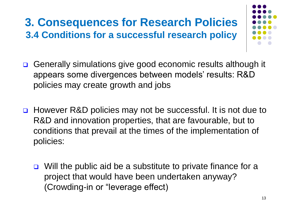### **3. Consequences for Research Policies 3.4 Conditions for a successful research policy**

- 
- **□** Generally simulations give good economic results although it appears some divergences between models' results: R&D policies may create growth and jobs
- **□** However R&D policies may not be successful. It is not due to R&D and innovation properties, that are favourable, but to conditions that prevail at the times of the implementation of policies:
	- $\Box$  Will the public aid be a substitute to private finance for a project that would have been undertaken anyway? (Crowding-in or "leverage effect)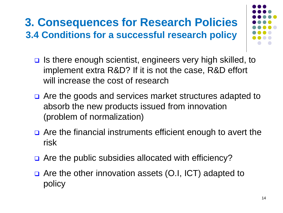### **3. Consequences for Research Policies 3.4 Conditions for a successful research policy**

- 
- **□** Is there enough scientist, engineers very high skilled, to implement extra R&D? If it is not the case, R&D effort will increase the cost of research
- **□** Are the goods and services market structures adapted to absorb the new products issued from innovation (problem of normalization)
- □ Are the financial instruments efficient enough to avert the risk
- □ Are the public subsidies allocated with efficiency?
- □ Are the other innovation assets (O.I, ICT) adapted to policy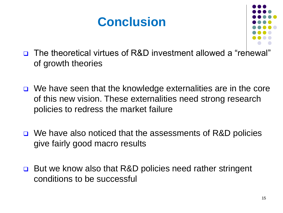### **Conclusion**



- □ The theoretical virtues of R&D investment allowed a "rehewal" of growth theories
- $\Box$  We have seen that the knowledge externalities are in the core of this new vision. These externalities need strong research policies to redress the market failure
- **□** We have also noticed that the assessments of R&D policies give fairly good macro results
- **□** But we know also that R&D policies need rather stringent conditions to be successful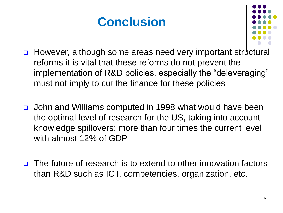## **Conclusion**



- However, although some areas need very important structural reforms it is vital that these reforms do not prevent the implementation of R&D policies, especially the "deleveraging" must not imply to cut the finance for these policies
- John and Williams computed in 1998 what would have been the optimal level of research for the US, taking into account knowledge spillovers: more than four times the current level with almost 12% of GDP
- The future of research is to extend to other innovation factors than R&D such as ICT, competencies, organization, etc.